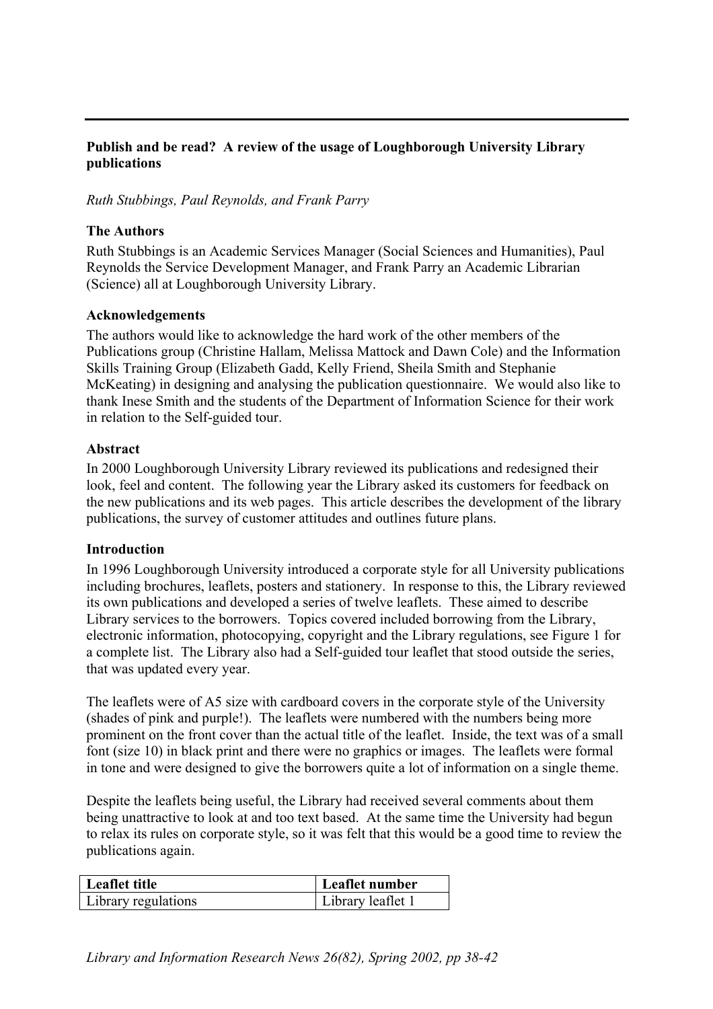## **Publish and be read? A review of the usage of Loughborough University Library publications**

*Ruth Stubbings, Paul Reynolds, and Frank Parry* 

### **The Authors**

Ruth Stubbings is an Academic Services Manager (Social Sciences and Humanities), Paul Reynolds the Service Development Manager, and Frank Parry an Academic Librarian (Science) all at Loughborough University Library.

### **Acknowledgements**

The authors would like to acknowledge the hard work of the other members of the Publications group (Christine Hallam, Melissa Mattock and Dawn Cole) and the Information Skills Training Group (Elizabeth Gadd, Kelly Friend, Sheila Smith and Stephanie McKeating) in designing and analysing the publication questionnaire. We would also like to thank Inese Smith and the students of the Department of Information Science for their work in relation to the Self-guided tour.

#### **Abstract**

In 2000 Loughborough University Library reviewed its publications and redesigned their look, feel and content. The following year the Library asked its customers for feedback on the new publications and its web pages. This article describes the development of the library publications, the survey of customer attitudes and outlines future plans.

#### **Introduction**

In 1996 Loughborough University introduced a corporate style for all University publications including brochures, leaflets, posters and stationery. In response to this, the Library reviewed its own publications and developed a series of twelve leaflets. These aimed to describe Library services to the borrowers. Topics covered included borrowing from the Library, electronic information, photocopying, copyright and the Library regulations, see Figure 1 for a complete list. The Library also had a Self-guided tour leaflet that stood outside the series, that was updated every year.

The leaflets were of A5 size with cardboard covers in the corporate style of the University (shades of pink and purple!). The leaflets were numbered with the numbers being more prominent on the front cover than the actual title of the leaflet. Inside, the text was of a small font (size 10) in black print and there were no graphics or images. The leaflets were formal in tone and were designed to give the borrowers quite a lot of information on a single theme.

Despite the leaflets being useful, the Library had received several comments about them being unattractive to look at and too text based. At the same time the University had begun to relax its rules on corporate style, so it was felt that this would be a good time to review the publications again.

| Leaflet title       | Leaflet number    |
|---------------------|-------------------|
| Library regulations | Library leaflet 1 |

*Library and Information Research News 26(82), Spring 2002, pp 38-42*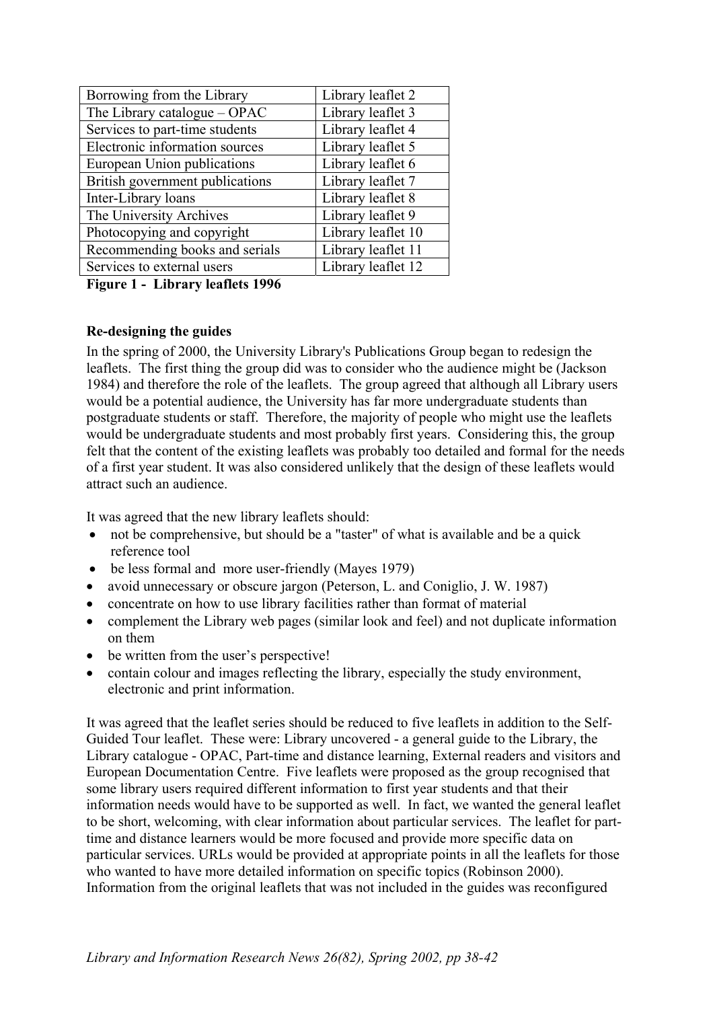| Borrowing from the Library      | Library leaflet 2  |
|---------------------------------|--------------------|
| The Library catalogue – OPAC    | Library leaflet 3  |
| Services to part-time students  | Library leaflet 4  |
| Electronic information sources  | Library leaflet 5  |
| European Union publications     | Library leaflet 6  |
| British government publications | Library leaflet 7  |
| Inter-Library loans             | Library leaflet 8  |
| The University Archives         | Library leaflet 9  |
| Photocopying and copyright      | Library leaflet 10 |
| Recommending books and serials  | Library leaflet 11 |
| Services to external users      | Library leaflet 12 |

**Figure 1 - Library leaflets 1996** 

# **Re-designing the guides**

In the spring of 2000, the University Library's Publications Group began to redesign the leaflets. The first thing the group did was to consider who the audience might be (Jackson 1984) and therefore the role of the leaflets. The group agreed that although all Library users would be a potential audience, the University has far more undergraduate students than postgraduate students or staff. Therefore, the majority of people who might use the leaflets would be undergraduate students and most probably first years. Considering this, the group felt that the content of the existing leaflets was probably too detailed and formal for the needs of a first year student. It was also considered unlikely that the design of these leaflets would attract such an audience.

It was agreed that the new library leaflets should:

- not be comprehensive, but should be a "taster" of what is available and be a quick reference tool
- be less formal and more user-friendly (Mayes 1979)
- avoid unnecessary or obscure jargon (Peterson, L. and Coniglio, J. W. 1987)
- concentrate on how to use library facilities rather than format of material
- complement the Library web pages (similar look and feel) and not duplicate information on them
- be written from the user's perspective!
- contain colour and images reflecting the library, especially the study environment, electronic and print information.

It was agreed that the leaflet series should be reduced to five leaflets in addition to the Self-Guided Tour leaflet. These were: Library uncovered - a general guide to the Library, the Library catalogue - OPAC, Part-time and distance learning, External readers and visitors and European Documentation Centre. Five leaflets were proposed as the group recognised that some library users required different information to first year students and that their information needs would have to be supported as well. In fact, we wanted the general leaflet to be short, welcoming, with clear information about particular services. The leaflet for parttime and distance learners would be more focused and provide more specific data on particular services. URLs would be provided at appropriate points in all the leaflets for those who wanted to have more detailed information on specific topics (Robinson 2000). Information from the original leaflets that was not included in the guides was reconfigured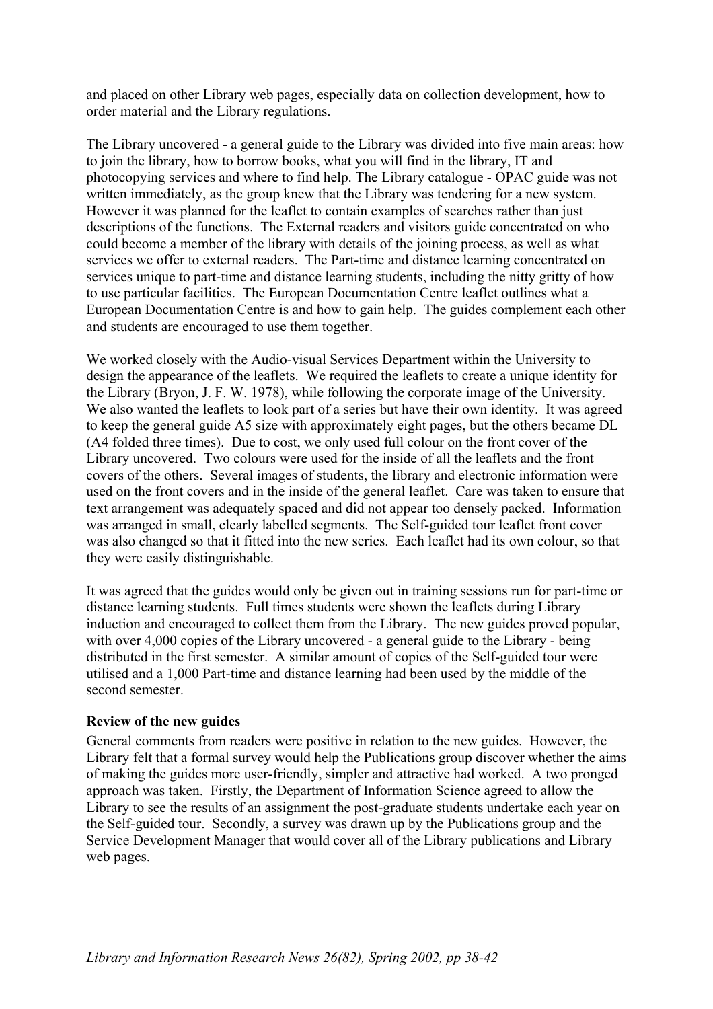and placed on other Library web pages, especially data on collection development, how to order material and the Library regulations.

The Library uncovered - a general guide to the Library was divided into five main areas: how to join the library, how to borrow books, what you will find in the library, IT and photocopying services and where to find help. The Library catalogue - OPAC guide was not written immediately, as the group knew that the Library was tendering for a new system. However it was planned for the leaflet to contain examples of searches rather than just descriptions of the functions. The External readers and visitors guide concentrated on who could become a member of the library with details of the joining process, as well as what services we offer to external readers. The Part-time and distance learning concentrated on services unique to part-time and distance learning students, including the nitty gritty of how to use particular facilities. The European Documentation Centre leaflet outlines what a European Documentation Centre is and how to gain help. The guides complement each other and students are encouraged to use them together.

We worked closely with the Audio-visual Services Department within the University to design the appearance of the leaflets. We required the leaflets to create a unique identity for the Library (Bryon, J. F. W. 1978), while following the corporate image of the University. We also wanted the leaflets to look part of a series but have their own identity. It was agreed to keep the general guide A5 size with approximately eight pages, but the others became DL (A4 folded three times). Due to cost, we only used full colour on the front cover of the Library uncovered. Two colours were used for the inside of all the leaflets and the front covers of the others. Several images of students, the library and electronic information were used on the front covers and in the inside of the general leaflet. Care was taken to ensure that text arrangement was adequately spaced and did not appear too densely packed. Information was arranged in small, clearly labelled segments. The Self-guided tour leaflet front cover was also changed so that it fitted into the new series. Each leaflet had its own colour, so that they were easily distinguishable.

It was agreed that the guides would only be given out in training sessions run for part-time or distance learning students. Full times students were shown the leaflets during Library induction and encouraged to collect them from the Library. The new guides proved popular, with over 4,000 copies of the Library uncovered - a general guide to the Library - being distributed in the first semester. A similar amount of copies of the Self-guided tour were utilised and a 1,000 Part-time and distance learning had been used by the middle of the second semester.

#### **Review of the new guides**

General comments from readers were positive in relation to the new guides. However, the Library felt that a formal survey would help the Publications group discover whether the aims of making the guides more user-friendly, simpler and attractive had worked. A two pronged approach was taken. Firstly, the Department of Information Science agreed to allow the Library to see the results of an assignment the post-graduate students undertake each year on the Self-guided tour. Secondly, a survey was drawn up by the Publications group and the Service Development Manager that would cover all of the Library publications and Library web pages.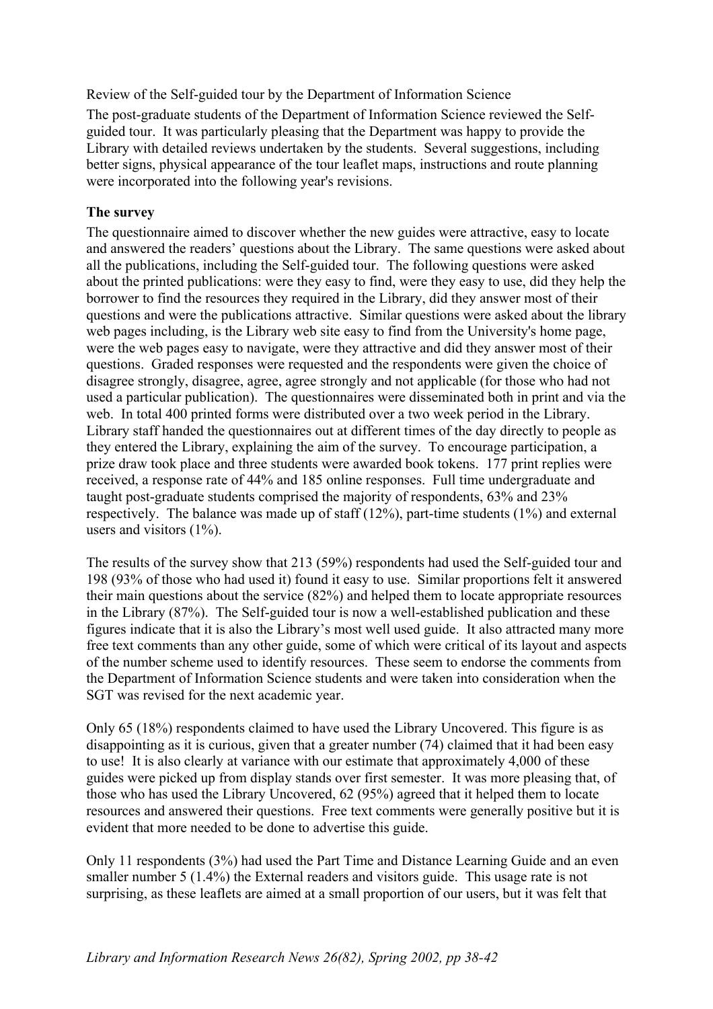Review of the Self-guided tour by the Department of Information Science

The post-graduate students of the Department of Information Science reviewed the Selfguided tour. It was particularly pleasing that the Department was happy to provide the Library with detailed reviews undertaken by the students. Several suggestions, including better signs, physical appearance of the tour leaflet maps, instructions and route planning were incorporated into the following year's revisions.

## **The survey**

The questionnaire aimed to discover whether the new guides were attractive, easy to locate and answered the readers' questions about the Library. The same questions were asked about all the publications, including the Self-guided tour. The following questions were asked about the printed publications: were they easy to find, were they easy to use, did they help the borrower to find the resources they required in the Library, did they answer most of their questions and were the publications attractive. Similar questions were asked about the library web pages including, is the Library web site easy to find from the University's home page, were the web pages easy to navigate, were they attractive and did they answer most of their questions. Graded responses were requested and the respondents were given the choice of disagree strongly, disagree, agree, agree strongly and not applicable (for those who had not used a particular publication). The questionnaires were disseminated both in print and via the web. In total 400 printed forms were distributed over a two week period in the Library. Library staff handed the questionnaires out at different times of the day directly to people as they entered the Library, explaining the aim of the survey. To encourage participation, a prize draw took place and three students were awarded book tokens. 177 print replies were received, a response rate of 44% and 185 online responses. Full time undergraduate and taught post-graduate students comprised the majority of respondents, 63% and 23% respectively. The balance was made up of staff (12%), part-time students (1%) and external users and visitors  $(1\%)$ .

The results of the survey show that 213 (59%) respondents had used the Self-guided tour and 198 (93% of those who had used it) found it easy to use. Similar proportions felt it answered their main questions about the service (82%) and helped them to locate appropriate resources in the Library (87%). The Self-guided tour is now a well-established publication and these figures indicate that it is also the Library's most well used guide. It also attracted many more free text comments than any other guide, some of which were critical of its layout and aspects of the number scheme used to identify resources. These seem to endorse the comments from the Department of Information Science students and were taken into consideration when the SGT was revised for the next academic year.

Only 65 (18%) respondents claimed to have used the Library Uncovered. This figure is as disappointing as it is curious, given that a greater number (74) claimed that it had been easy to use! It is also clearly at variance with our estimate that approximately 4,000 of these guides were picked up from display stands over first semester. It was more pleasing that, of those who has used the Library Uncovered, 62 (95%) agreed that it helped them to locate resources and answered their questions. Free text comments were generally positive but it is evident that more needed to be done to advertise this guide.

Only 11 respondents (3%) had used the Part Time and Distance Learning Guide and an even smaller number 5 (1.4%) the External readers and visitors guide. This usage rate is not surprising, as these leaflets are aimed at a small proportion of our users, but it was felt that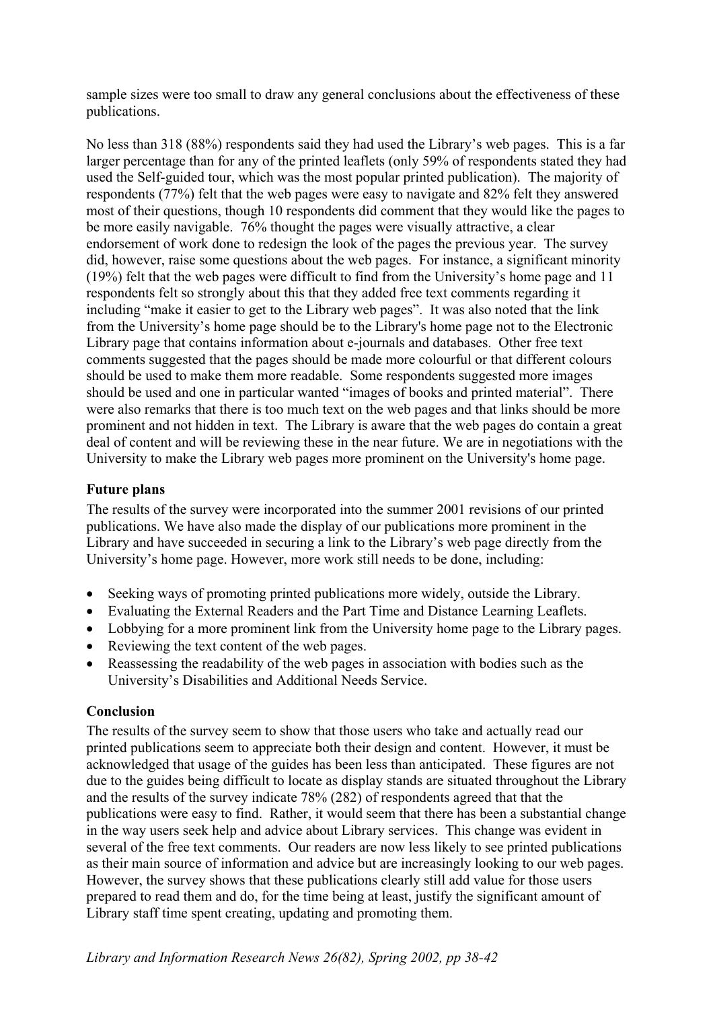sample sizes were too small to draw any general conclusions about the effectiveness of these publications.

No less than 318 (88%) respondents said they had used the Library's web pages. This is a far larger percentage than for any of the printed leaflets (only 59% of respondents stated they had used the Self-guided tour, which was the most popular printed publication). The majority of respondents (77%) felt that the web pages were easy to navigate and 82% felt they answered most of their questions, though 10 respondents did comment that they would like the pages to be more easily navigable. 76% thought the pages were visually attractive, a clear endorsement of work done to redesign the look of the pages the previous year. The survey did, however, raise some questions about the web pages. For instance, a significant minority (19%) felt that the web pages were difficult to find from the University's home page and 11 respondents felt so strongly about this that they added free text comments regarding it including "make it easier to get to the Library web pages". It was also noted that the link from the University's home page should be to the Library's home page not to the Electronic Library page that contains information about e-journals and databases. Other free text comments suggested that the pages should be made more colourful or that different colours should be used to make them more readable. Some respondents suggested more images should be used and one in particular wanted "images of books and printed material". There were also remarks that there is too much text on the web pages and that links should be more prominent and not hidden in text. The Library is aware that the web pages do contain a great deal of content and will be reviewing these in the near future. We are in negotiations with the University to make the Library web pages more prominent on the University's home page.

## **Future plans**

The results of the survey were incorporated into the summer 2001 revisions of our printed publications. We have also made the display of our publications more prominent in the Library and have succeeded in securing a link to the Library's web page directly from the University's home page. However, more work still needs to be done, including:

- Seeking ways of promoting printed publications more widely, outside the Library.
- Evaluating the External Readers and the Part Time and Distance Learning Leaflets.
- Lobbying for a more prominent link from the University home page to the Library pages.
- Reviewing the text content of the web pages.
- Reassessing the readability of the web pages in association with bodies such as the University's Disabilities and Additional Needs Service.

#### **Conclusion**

The results of the survey seem to show that those users who take and actually read our printed publications seem to appreciate both their design and content. However, it must be acknowledged that usage of the guides has been less than anticipated. These figures are not due to the guides being difficult to locate as display stands are situated throughout the Library and the results of the survey indicate 78% (282) of respondents agreed that that the publications were easy to find. Rather, it would seem that there has been a substantial change in the way users seek help and advice about Library services. This change was evident in several of the free text comments. Our readers are now less likely to see printed publications as their main source of information and advice but are increasingly looking to our web pages. However, the survey shows that these publications clearly still add value for those users prepared to read them and do, for the time being at least, justify the significant amount of Library staff time spent creating, updating and promoting them.